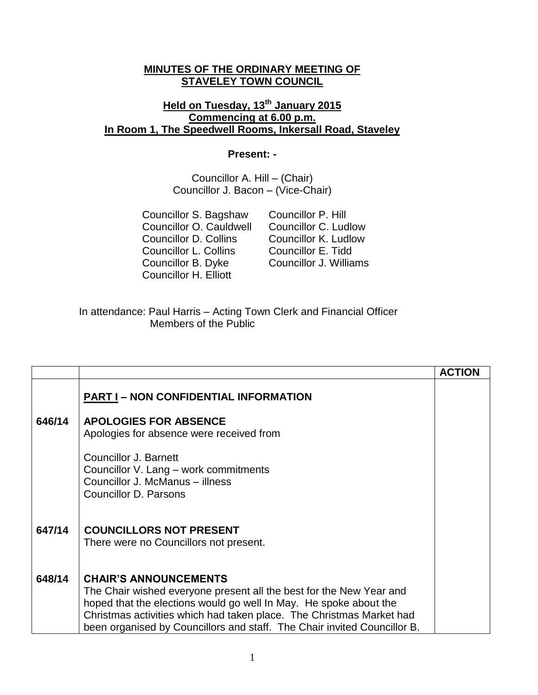## **MINUTES OF THE ORDINARY MEETING OF STAVELEY TOWN COUNCIL**

## **Held on Tuesday, 13th January 2015 Commencing at 6.00 p.m. In Room 1, The Speedwell Rooms, Inkersall Road, Staveley**

## **Present: -**

Councillor A. Hill – (Chair) Councillor J. Bacon – (Vice-Chair)

Councillor S. Bagshaw Councillor P. Hill Councillor O. Cauldwell Councillor C. Ludlow Councillor D. Collins Councillor K. Ludlow Councillor L. Collins Councillor E. Tidd Councillor B. Dyke Councillor J. Williams Councillor H. Elliott

In attendance: Paul Harris – Acting Town Clerk and Financial Officer Members of the Public

|        |                                                                                                                                                                                                                                                                                                                              | <b>ACTION</b> |
|--------|------------------------------------------------------------------------------------------------------------------------------------------------------------------------------------------------------------------------------------------------------------------------------------------------------------------------------|---------------|
|        | <b>PART I-NON CONFIDENTIAL INFORMATION</b>                                                                                                                                                                                                                                                                                   |               |
| 646/14 | <b>APOLOGIES FOR ABSENCE</b><br>Apologies for absence were received from                                                                                                                                                                                                                                                     |               |
|        | Councillor J. Barnett<br>Councillor V. Lang - work commitments<br>Councillor J. McManus - illness<br>Councillor D. Parsons                                                                                                                                                                                                   |               |
| 647/14 | <b>COUNCILLORS NOT PRESENT</b><br>There were no Councillors not present.                                                                                                                                                                                                                                                     |               |
| 648/14 | <b>CHAIR'S ANNOUNCEMENTS</b><br>The Chair wished everyone present all the best for the New Year and<br>hoped that the elections would go well In May. He spoke about the<br>Christmas activities which had taken place. The Christmas Market had<br>been organised by Councillors and staff. The Chair invited Councillor B. |               |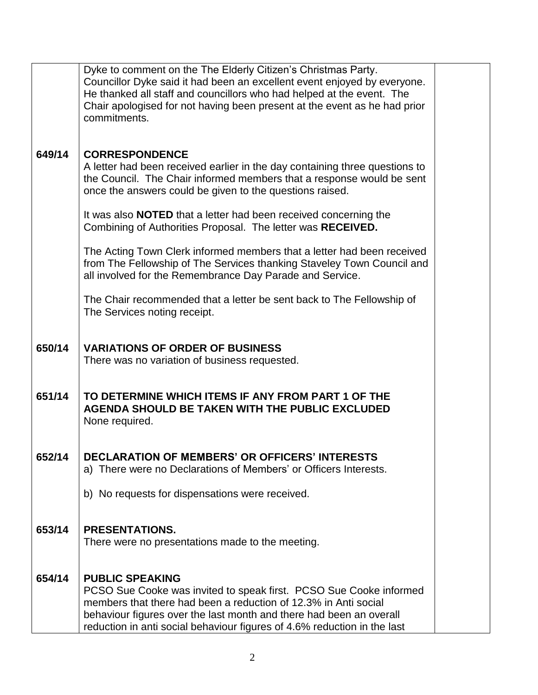|        | Dyke to comment on the The Elderly Citizen's Christmas Party.               |  |  |  |
|--------|-----------------------------------------------------------------------------|--|--|--|
|        | Councillor Dyke said it had been an excellent event enjoyed by everyone.    |  |  |  |
|        | He thanked all staff and councillors who had helped at the event. The       |  |  |  |
|        | Chair apologised for not having been present at the event as he had prior   |  |  |  |
|        |                                                                             |  |  |  |
|        | commitments.                                                                |  |  |  |
|        |                                                                             |  |  |  |
|        |                                                                             |  |  |  |
| 649/14 | <b>CORRESPONDENCE</b>                                                       |  |  |  |
|        | A letter had been received earlier in the day containing three questions to |  |  |  |
|        | the Council. The Chair informed members that a response would be sent       |  |  |  |
|        | once the answers could be given to the questions raised.                    |  |  |  |
|        |                                                                             |  |  |  |
|        |                                                                             |  |  |  |
|        | It was also <b>NOTED</b> that a letter had been received concerning the     |  |  |  |
|        | Combining of Authorities Proposal. The letter was RECEIVED.                 |  |  |  |
|        |                                                                             |  |  |  |
|        | The Acting Town Clerk informed members that a letter had been received      |  |  |  |
|        | from The Fellowship of The Services thanking Staveley Town Council and      |  |  |  |
|        | all involved for the Remembrance Day Parade and Service.                    |  |  |  |
|        |                                                                             |  |  |  |
|        |                                                                             |  |  |  |
|        | The Chair recommended that a letter be sent back to The Fellowship of       |  |  |  |
|        | The Services noting receipt.                                                |  |  |  |
|        |                                                                             |  |  |  |
|        |                                                                             |  |  |  |
| 650/14 | <b>VARIATIONS OF ORDER OF BUSINESS</b>                                      |  |  |  |
|        | There was no variation of business requested.                               |  |  |  |
|        |                                                                             |  |  |  |
|        |                                                                             |  |  |  |
| 651/14 | TO DETERMINE WHICH ITEMS IF ANY FROM PART 1 OF THE                          |  |  |  |
|        | AGENDA SHOULD BE TAKEN WITH THE PUBLIC EXCLUDED                             |  |  |  |
|        |                                                                             |  |  |  |
|        | None required.                                                              |  |  |  |
|        |                                                                             |  |  |  |
|        |                                                                             |  |  |  |
| 652/14 | DECLARATION OF MEMBERS' OR OFFICERS' INTERESTS                              |  |  |  |
|        | a) There were no Declarations of Members' or Officers Interests.            |  |  |  |
|        |                                                                             |  |  |  |
|        | b) No requests for dispensations were received.                             |  |  |  |
|        |                                                                             |  |  |  |
|        |                                                                             |  |  |  |
| 653/14 | <b>PRESENTATIONS.</b>                                                       |  |  |  |
|        | There were no presentations made to the meeting.                            |  |  |  |
|        |                                                                             |  |  |  |
|        |                                                                             |  |  |  |
|        |                                                                             |  |  |  |
| 654/14 | <b>PUBLIC SPEAKING</b>                                                      |  |  |  |
|        | PCSO Sue Cooke was invited to speak first. PCSO Sue Cooke informed          |  |  |  |
|        | members that there had been a reduction of 12.3% in Anti social             |  |  |  |
|        | behaviour figures over the last month and there had been an overall         |  |  |  |
|        | reduction in anti social behaviour figures of 4.6% reduction in the last    |  |  |  |
|        |                                                                             |  |  |  |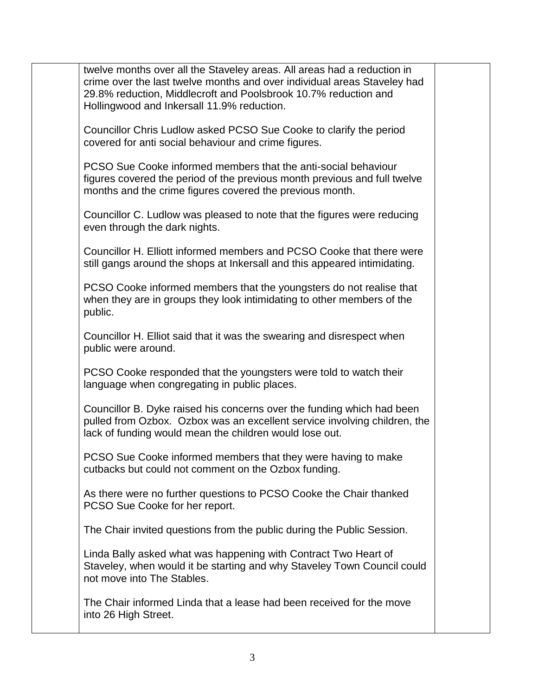| twelve months over all the Staveley areas. All areas had a reduction in<br>crime over the last twelve months and over individual areas Staveley had<br>29.8% reduction, Middlecroft and Poolsbrook 10.7% reduction and<br>Hollingwood and Inkersall 11.9% reduction. |  |
|----------------------------------------------------------------------------------------------------------------------------------------------------------------------------------------------------------------------------------------------------------------------|--|
| Councillor Chris Ludlow asked PCSO Sue Cooke to clarify the period<br>covered for anti social behaviour and crime figures.                                                                                                                                           |  |
| PCSO Sue Cooke informed members that the anti-social behaviour<br>figures covered the period of the previous month previous and full twelve<br>months and the crime figures covered the previous month.                                                              |  |
| Councillor C. Ludlow was pleased to note that the figures were reducing<br>even through the dark nights.                                                                                                                                                             |  |
| Councillor H. Elliott informed members and PCSO Cooke that there were<br>still gangs around the shops at Inkersall and this appeared intimidating.                                                                                                                   |  |
| PCSO Cooke informed members that the youngsters do not realise that<br>when they are in groups they look intimidating to other members of the<br>public.                                                                                                             |  |
| Councillor H. Elliot said that it was the swearing and disrespect when<br>public were around.                                                                                                                                                                        |  |
| PCSO Cooke responded that the youngsters were told to watch their<br>language when congregating in public places.                                                                                                                                                    |  |
| Councillor B. Dyke raised his concerns over the funding which had been<br>pulled from Ozbox. Ozbox was an excellent service involving children, the<br>lack of funding would mean the children would lose out.                                                       |  |
| PCSO Sue Cooke informed members that they were having to make<br>cutbacks but could not comment on the Ozbox funding.                                                                                                                                                |  |
| As there were no further questions to PCSO Cooke the Chair thanked<br>PCSO Sue Cooke for her report.                                                                                                                                                                 |  |
| The Chair invited questions from the public during the Public Session.                                                                                                                                                                                               |  |
| Linda Bally asked what was happening with Contract Two Heart of<br>Staveley, when would it be starting and why Staveley Town Council could<br>not move into The Stables.                                                                                             |  |
| The Chair informed Linda that a lease had been received for the move<br>into 26 High Street.                                                                                                                                                                         |  |
|                                                                                                                                                                                                                                                                      |  |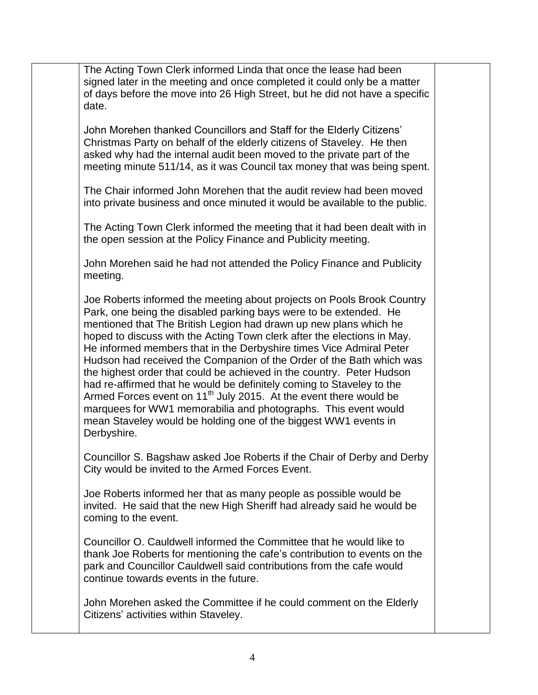The Acting Town Clerk informed Linda that once the lease had been signed later in the meeting and once completed it could only be a matter of days before the move into 26 High Street, but he did not have a specific date.

John Morehen thanked Councillors and Staff for the Elderly Citizens' Christmas Party on behalf of the elderly citizens of Staveley. He then asked why had the internal audit been moved to the private part of the meeting minute 511/14, as it was Council tax money that was being spent.

The Chair informed John Morehen that the audit review had been moved into private business and once minuted it would be available to the public.

The Acting Town Clerk informed the meeting that it had been dealt with in the open session at the Policy Finance and Publicity meeting.

John Morehen said he had not attended the Policy Finance and Publicity meeting.

Joe Roberts informed the meeting about projects on Pools Brook Country Park, one being the disabled parking bays were to be extended. He mentioned that The British Legion had drawn up new plans which he hoped to discuss with the Acting Town clerk after the elections in May. He informed members that in the Derbyshire times Vice Admiral Peter Hudson had received the Companion of the Order of the Bath which was the highest order that could be achieved in the country. Peter Hudson had re-affirmed that he would be definitely coming to Staveley to the Armed Forces event on  $11<sup>th</sup>$  July 2015. At the event there would be marquees for WW1 memorabilia and photographs. This event would mean Staveley would be holding one of the biggest WW1 events in Derbyshire.

Councillor S. Bagshaw asked Joe Roberts if the Chair of Derby and Derby City would be invited to the Armed Forces Event.

Joe Roberts informed her that as many people as possible would be invited. He said that the new High Sheriff had already said he would be coming to the event.

Councillor O. Cauldwell informed the Committee that he would like to thank Joe Roberts for mentioning the cafe's contribution to events on the park and Councillor Cauldwell said contributions from the cafe would continue towards events in the future.

John Morehen asked the Committee if he could comment on the Elderly Citizens' activities within Staveley.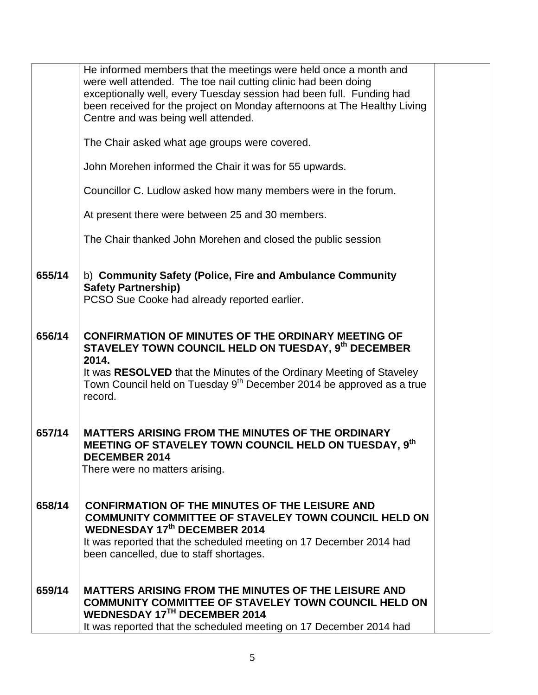|        | He informed members that the meetings were held once a month and<br>were well attended. The toe nail cutting clinic had been doing<br>exceptionally well, every Tuesday session had been full. Funding had<br>been received for the project on Monday afternoons at The Healthy Living<br>Centre and was being well attended. |  |
|--------|-------------------------------------------------------------------------------------------------------------------------------------------------------------------------------------------------------------------------------------------------------------------------------------------------------------------------------|--|
|        | The Chair asked what age groups were covered.                                                                                                                                                                                                                                                                                 |  |
|        | John Morehen informed the Chair it was for 55 upwards.                                                                                                                                                                                                                                                                        |  |
|        | Councillor C. Ludlow asked how many members were in the forum.                                                                                                                                                                                                                                                                |  |
|        | At present there were between 25 and 30 members.                                                                                                                                                                                                                                                                              |  |
|        | The Chair thanked John Morehen and closed the public session                                                                                                                                                                                                                                                                  |  |
| 655/14 | b) Community Safety (Police, Fire and Ambulance Community<br><b>Safety Partnership)</b><br>PCSO Sue Cooke had already reported earlier.                                                                                                                                                                                       |  |
| 656/14 | <b>CONFIRMATION OF MINUTES OF THE ORDINARY MEETING OF</b><br>STAVELEY TOWN COUNCIL HELD ON TUESDAY, 9th DECEMBER<br>2014.<br>It was RESOLVED that the Minutes of the Ordinary Meeting of Staveley<br>Town Council held on Tuesday 9 <sup>th</sup> December 2014 be approved as a true<br>record.                              |  |
| 657/14 | <b>MATTERS ARISING FROM THE MINUTES OF THE ORDINARY</b><br>MEETING OF STAVELEY TOWN COUNCIL HELD ON TUESDAY, 9th<br><b>DECEMBER 2014</b><br>There were no matters arising.                                                                                                                                                    |  |
| 658/14 | <b>CONFIRMATION OF THE MINUTES OF THE LEISURE AND</b><br><b>COMMUNITY COMMITTEE OF STAVELEY TOWN COUNCIL HELD ON</b><br><b>WEDNESDAY 17th DECEMBER 2014</b><br>It was reported that the scheduled meeting on 17 December 2014 had<br>been cancelled, due to staff shortages.                                                  |  |
| 659/14 | <b>MATTERS ARISING FROM THE MINUTES OF THE LEISURE AND</b><br><b>COMMUNITY COMMITTEE OF STAVELEY TOWN COUNCIL HELD ON</b><br><b>WEDNESDAY 17TH DECEMBER 2014</b><br>It was reported that the scheduled meeting on 17 December 2014 had                                                                                        |  |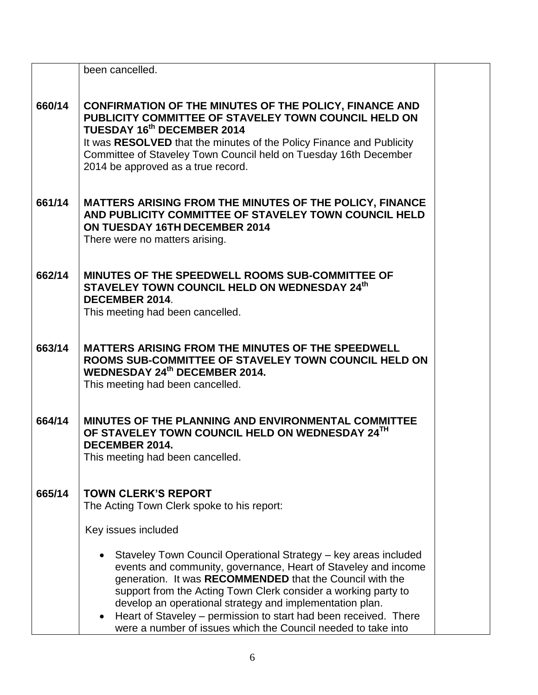|        | been cancelled.                                                                                                                                                                                                                                                                                                                                                                                                                                                               |  |
|--------|-------------------------------------------------------------------------------------------------------------------------------------------------------------------------------------------------------------------------------------------------------------------------------------------------------------------------------------------------------------------------------------------------------------------------------------------------------------------------------|--|
| 660/14 | CONFIRMATION OF THE MINUTES OF THE POLICY, FINANCE AND<br>PUBLICITY COMMITTEE OF STAVELEY TOWN COUNCIL HELD ON<br>TUESDAY 16th DECEMBER 2014<br>It was RESOLVED that the minutes of the Policy Finance and Publicity<br>Committee of Staveley Town Council held on Tuesday 16th December<br>2014 be approved as a true record.                                                                                                                                                |  |
| 661/14 | MATTERS ARISING FROM THE MINUTES OF THE POLICY, FINANCE<br>AND PUBLICITY COMMITTEE OF STAVELEY TOWN COUNCIL HELD<br>ON TUESDAY 16TH DECEMBER 2014<br>There were no matters arising.                                                                                                                                                                                                                                                                                           |  |
| 662/14 | MINUTES OF THE SPEEDWELL ROOMS SUB-COMMITTEE OF<br>STAVELEY TOWN COUNCIL HELD ON WEDNESDAY 24th<br>DECEMBER 2014.<br>This meeting had been cancelled.                                                                                                                                                                                                                                                                                                                         |  |
| 663/14 | MATTERS ARISING FROM THE MINUTES OF THE SPEEDWELL<br>ROOMS SUB-COMMITTEE OF STAVELEY TOWN COUNCIL HELD ON<br><b>WEDNESDAY 24th DECEMBER 2014.</b><br>This meeting had been cancelled.                                                                                                                                                                                                                                                                                         |  |
| 664/14 | MINUTES OF THE PLANNING AND ENVIRONMENTAL COMMITTEE<br>OF STAVELEY TOWN COUNCIL HELD ON WEDNESDAY 24TH<br>DECEMBER 2014.<br>This meeting had been cancelled.                                                                                                                                                                                                                                                                                                                  |  |
| 665/14 | <b>TOWN CLERK'S REPORT</b><br>The Acting Town Clerk spoke to his report:                                                                                                                                                                                                                                                                                                                                                                                                      |  |
|        | Key issues included                                                                                                                                                                                                                                                                                                                                                                                                                                                           |  |
|        | Staveley Town Council Operational Strategy - key areas included<br>events and community, governance, Heart of Staveley and income<br>generation. It was RECOMMENDED that the Council with the<br>support from the Acting Town Clerk consider a working party to<br>develop an operational strategy and implementation plan.<br>Heart of Staveley – permission to start had been received. There<br>$\bullet$<br>were a number of issues which the Council needed to take into |  |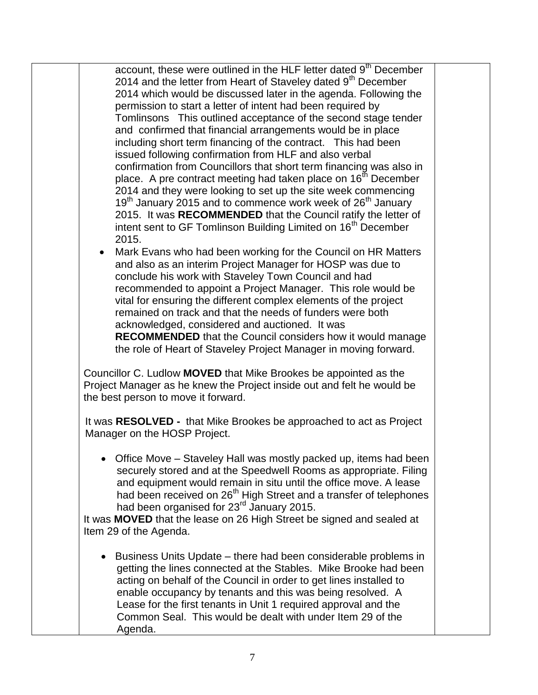account, these were outlined in the HLF letter dated 9<sup>th</sup> December 2014 and the letter from Heart of Staveley dated 9<sup>th</sup> December 2014 which would be discussed later in the agenda. Following the permission to start a letter of intent had been required by Tomlinsons This outlined acceptance of the second stage tender and confirmed that financial arrangements would be in place including short term financing of the contract. This had been issued following confirmation from HLF and also verbal confirmation from Councillors that short term financing was also in place. A pre contract meeting had taken place on 16<sup>th</sup> December 2014 and they were looking to set up the site week commencing 19<sup>th</sup> January 2015 and to commence work week of 26<sup>th</sup> January 2015. It was **RECOMMENDED** that the Council ratify the letter of intent sent to GF Tomlinson Building Limited on 16<sup>th</sup> December 2015.

 Mark Evans who had been working for the Council on HR Matters and also as an interim Project Manager for HOSP was due to conclude his work with Staveley Town Council and had recommended to appoint a Project Manager. This role would be vital for ensuring the different complex elements of the project remained on track and that the needs of funders were both acknowledged, considered and auctioned. It was **RECOMMENDED** that the Council considers how it would manage the role of Heart of Staveley Project Manager in moving forward.

Councillor C. Ludlow **MOVED** that Mike Brookes be appointed as the Project Manager as he knew the Project inside out and felt he would be the best person to move it forward.

It was **RESOLVED -** that Mike Brookes be approached to act as Project Manager on the HOSP Project.

 Office Move – Staveley Hall was mostly packed up, items had been securely stored and at the Speedwell Rooms as appropriate. Filing and equipment would remain in situ until the office move. A lease and been received on 26<sup>th</sup> High Street and a transfer of telephones had been organised for 23<sup>rd</sup> January 2015.

It was **MOVED** that the lease on 26 High Street be signed and sealed at Item 29 of the Agenda.

• Business Units Update – there had been considerable problems in getting the lines connected at the Stables. Mike Brooke had been acting on behalf of the Council in order to get lines installed to enable occupancy by tenants and this was being resolved. A Lease for the first tenants in Unit 1 required approval and the Common Seal. This would be dealt with under Item 29 of the Agenda.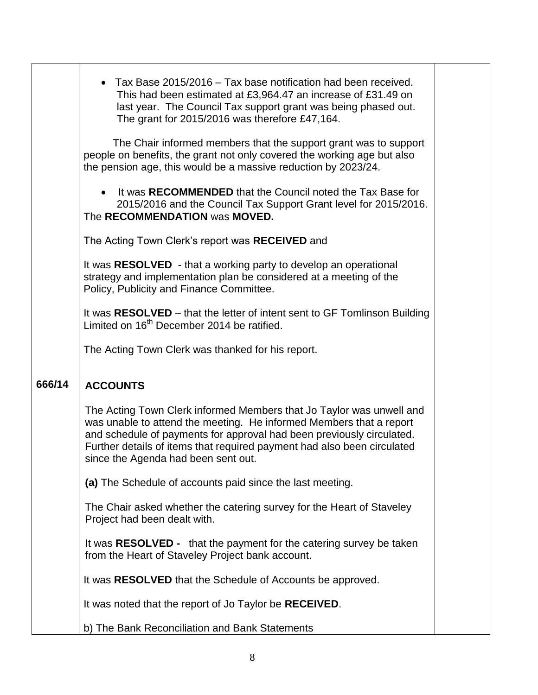|        | Tax Base 2015/2016 – Tax base notification had been received.<br>This had been estimated at £3,964.47 an increase of £31.49 on<br>last year. The Council Tax support grant was being phased out.<br>The grant for 2015/2016 was therefore £47,164.                                                                                     |  |
|--------|----------------------------------------------------------------------------------------------------------------------------------------------------------------------------------------------------------------------------------------------------------------------------------------------------------------------------------------|--|
|        | The Chair informed members that the support grant was to support<br>people on benefits, the grant not only covered the working age but also<br>the pension age, this would be a massive reduction by 2023/24.                                                                                                                          |  |
|        | It was RECOMMENDED that the Council noted the Tax Base for<br>2015/2016 and the Council Tax Support Grant level for 2015/2016.<br>The RECOMMENDATION was MOVED.                                                                                                                                                                        |  |
|        | The Acting Town Clerk's report was RECEIVED and                                                                                                                                                                                                                                                                                        |  |
|        | It was RESOLVED - that a working party to develop an operational<br>strategy and implementation plan be considered at a meeting of the<br>Policy, Publicity and Finance Committee.                                                                                                                                                     |  |
|        | It was RESOLVED - that the letter of intent sent to GF Tomlinson Building<br>Limited on 16 <sup>th</sup> December 2014 be ratified.                                                                                                                                                                                                    |  |
|        | The Acting Town Clerk was thanked for his report.                                                                                                                                                                                                                                                                                      |  |
| 666/14 | <b>ACCOUNTS</b>                                                                                                                                                                                                                                                                                                                        |  |
|        | The Acting Town Clerk informed Members that Jo Taylor was unwell and<br>was unable to attend the meeting. He informed Members that a report<br>and schedule of payments for approval had been previously circulated.<br>Further details of items that required payment had also been circulated<br>since the Agenda had been sent out. |  |
|        | (a) The Schedule of accounts paid since the last meeting.                                                                                                                                                                                                                                                                              |  |
|        | The Chair asked whether the catering survey for the Heart of Staveley<br>Project had been dealt with.                                                                                                                                                                                                                                  |  |
|        | It was <b>RESOLVED</b> - that the payment for the catering survey be taken<br>from the Heart of Staveley Project bank account.                                                                                                                                                                                                         |  |
|        | It was RESOLVED that the Schedule of Accounts be approved.                                                                                                                                                                                                                                                                             |  |
|        | It was noted that the report of Jo Taylor be RECEIVED.                                                                                                                                                                                                                                                                                 |  |
|        |                                                                                                                                                                                                                                                                                                                                        |  |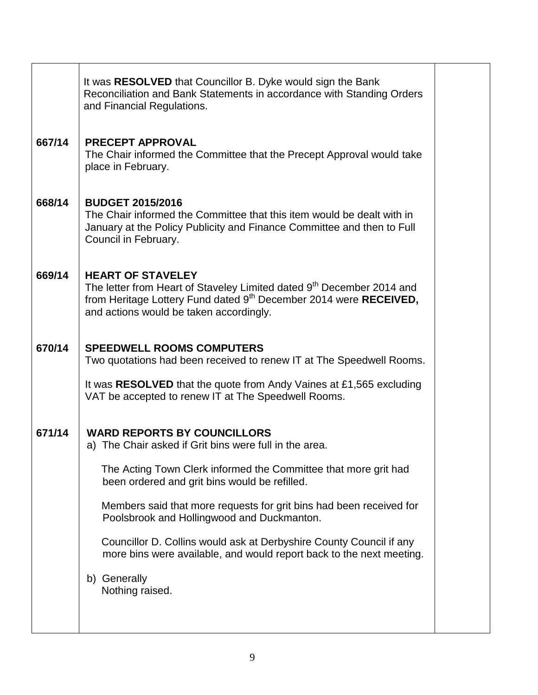| 667/14<br><b>PRECEPT APPROVAL</b><br>The Chair informed the Committee that the Precept Approval would take<br>place in February.<br>668/14<br><b>BUDGET 2015/2016</b><br>The Chair informed the Committee that this item would be dealt with in<br>January at the Policy Publicity and Finance Committee and then to Full<br>Council in February.<br>669/14<br><b>HEART OF STAVELEY</b><br>The letter from Heart of Staveley Limited dated 9 <sup>th</sup> December 2014 and<br>from Heritage Lottery Fund dated 9 <sup>th</sup> December 2014 were RECEIVED,<br>and actions would be taken accordingly.<br>670/14<br><b>SPEEDWELL ROOMS COMPUTERS</b><br>Two quotations had been received to renew IT at The Speedwell Rooms.<br>It was RESOLVED that the quote from Andy Vaines at £1,565 excluding<br>VAT be accepted to renew IT at The Speedwell Rooms. |
|--------------------------------------------------------------------------------------------------------------------------------------------------------------------------------------------------------------------------------------------------------------------------------------------------------------------------------------------------------------------------------------------------------------------------------------------------------------------------------------------------------------------------------------------------------------------------------------------------------------------------------------------------------------------------------------------------------------------------------------------------------------------------------------------------------------------------------------------------------------|
|                                                                                                                                                                                                                                                                                                                                                                                                                                                                                                                                                                                                                                                                                                                                                                                                                                                              |
|                                                                                                                                                                                                                                                                                                                                                                                                                                                                                                                                                                                                                                                                                                                                                                                                                                                              |
|                                                                                                                                                                                                                                                                                                                                                                                                                                                                                                                                                                                                                                                                                                                                                                                                                                                              |
|                                                                                                                                                                                                                                                                                                                                                                                                                                                                                                                                                                                                                                                                                                                                                                                                                                                              |
| 671/14<br><b>WARD REPORTS BY COUNCILLORS</b><br>a) The Chair asked if Grit bins were full in the area.<br>The Acting Town Clerk informed the Committee that more grit had<br>been ordered and grit bins would be refilled.<br>Members said that more requests for grit bins had been received for<br>Poolsbrook and Hollingwood and Duckmanton.<br>Councillor D. Collins would ask at Derbyshire County Council if any<br>more bins were available, and would report back to the next meeting.<br>b) Generally<br>Nothing raised.                                                                                                                                                                                                                                                                                                                            |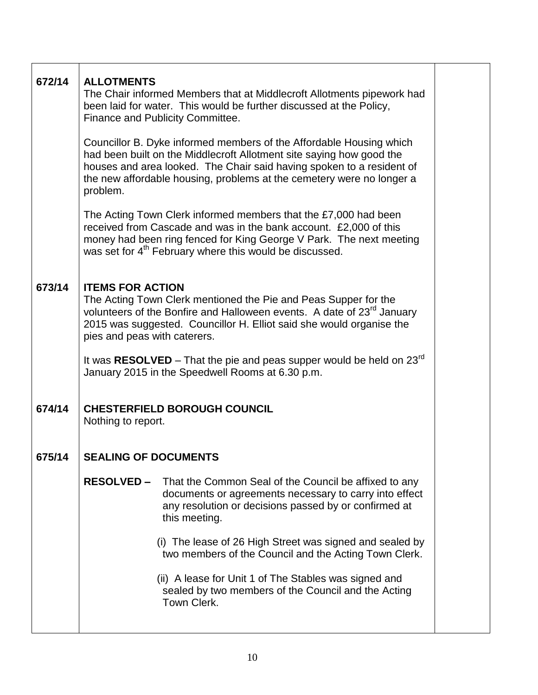| 672/14 | <b>ALLOTMENTS</b><br>The Chair informed Members that at Middlecroft Allotments pipework had<br>been laid for water. This would be further discussed at the Policy,<br>Finance and Publicity Committee.                                                                                                    |  |  |  |
|--------|-----------------------------------------------------------------------------------------------------------------------------------------------------------------------------------------------------------------------------------------------------------------------------------------------------------|--|--|--|
|        | Councillor B. Dyke informed members of the Affordable Housing which<br>had been built on the Middlecroft Allotment site saying how good the<br>houses and area looked. The Chair said having spoken to a resident of<br>the new affordable housing, problems at the cemetery were no longer a<br>problem. |  |  |  |
|        | The Acting Town Clerk informed members that the £7,000 had been<br>received from Cascade and was in the bank account. £2,000 of this<br>money had been ring fenced for King George V Park. The next meeting<br>was set for 4 <sup>th</sup> February where this would be discussed.                        |  |  |  |
| 673/14 | <b>ITEMS FOR ACTION</b><br>The Acting Town Clerk mentioned the Pie and Peas Supper for the<br>volunteers of the Bonfire and Halloween events. A date of 23 <sup>rd</sup> January<br>2015 was suggested. Councillor H. Elliot said she would organise the<br>pies and peas with caterers.                  |  |  |  |
|        | It was RESOLVED – That the pie and peas supper would be held on $23^{rd}$<br>January 2015 in the Speedwell Rooms at 6.30 p.m.                                                                                                                                                                             |  |  |  |
| 674/14 | <b>CHESTERFIELD BOROUGH COUNCIL</b><br>Nothing to report.                                                                                                                                                                                                                                                 |  |  |  |
| 675/14 | <b>SEALING OF DOCUMENTS</b>                                                                                                                                                                                                                                                                               |  |  |  |
|        | <b>RESOLVED –</b><br>That the Common Seal of the Council be affixed to any<br>documents or agreements necessary to carry into effect<br>any resolution or decisions passed by or confirmed at<br>this meeting.                                                                                            |  |  |  |
|        | (i) The lease of 26 High Street was signed and sealed by<br>two members of the Council and the Acting Town Clerk.                                                                                                                                                                                         |  |  |  |
|        | (ii) A lease for Unit 1 of The Stables was signed and<br>sealed by two members of the Council and the Acting<br>Town Clerk.                                                                                                                                                                               |  |  |  |
|        |                                                                                                                                                                                                                                                                                                           |  |  |  |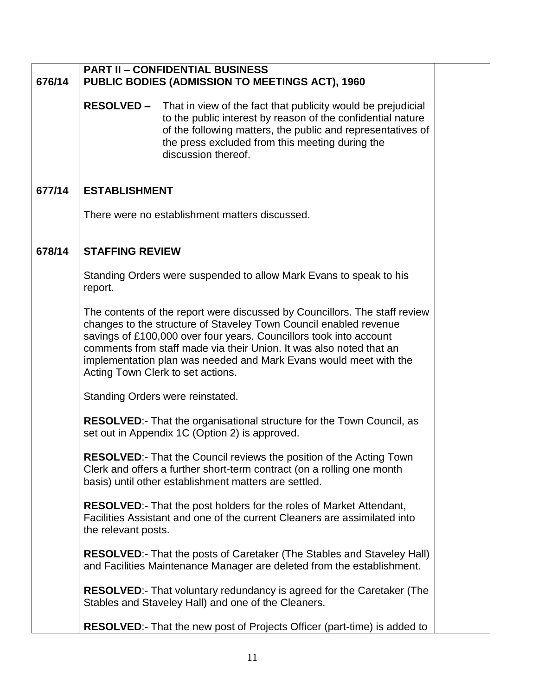| 676/14 | <b>PART II - CONFIDENTIAL BUSINESS</b><br><b>PUBLIC BODIES (ADMISSION TO MEETINGS ACT), 1960</b> |                                                                                                                                                                                                                                                                                                                                                                                                        |  |
|--------|--------------------------------------------------------------------------------------------------|--------------------------------------------------------------------------------------------------------------------------------------------------------------------------------------------------------------------------------------------------------------------------------------------------------------------------------------------------------------------------------------------------------|--|
|        |                                                                                                  | <b>RESOLVED -</b> That in view of the fact that publicity would be prejudicial<br>to the public interest by reason of the confidential nature<br>of the following matters, the public and representatives of<br>the press excluded from this meeting during the<br>discussion thereof.                                                                                                                 |  |
| 677/14 | <b>ESTABLISHMENT</b>                                                                             |                                                                                                                                                                                                                                                                                                                                                                                                        |  |
|        | There were no establishment matters discussed.                                                   |                                                                                                                                                                                                                                                                                                                                                                                                        |  |
| 678/14 | <b>STAFFING REVIEW</b>                                                                           |                                                                                                                                                                                                                                                                                                                                                                                                        |  |
|        | report.                                                                                          | Standing Orders were suspended to allow Mark Evans to speak to his                                                                                                                                                                                                                                                                                                                                     |  |
|        |                                                                                                  | The contents of the report were discussed by Councillors. The staff review<br>changes to the structure of Staveley Town Council enabled revenue<br>savings of £100,000 over four years. Councillors took into account<br>comments from staff made via their Union. It was also noted that an<br>implementation plan was needed and Mark Evans would meet with the<br>Acting Town Clerk to set actions. |  |
|        |                                                                                                  | Standing Orders were reinstated.                                                                                                                                                                                                                                                                                                                                                                       |  |
|        |                                                                                                  | <b>RESOLVED:-</b> That the organisational structure for the Town Council, as<br>set out in Appendix 1C (Option 2) is approved.                                                                                                                                                                                                                                                                         |  |
|        |                                                                                                  | RESOLVED:- That the Council reviews the position of the Acting Town<br>Clerk and offers a further short-term contract (on a rolling one month<br>basis) until other establishment matters are settled.                                                                                                                                                                                                 |  |
|        | the relevant posts.                                                                              | <b>RESOLVED:-</b> That the post holders for the roles of Market Attendant,<br>Facilities Assistant and one of the current Cleaners are assimilated into                                                                                                                                                                                                                                                |  |
|        |                                                                                                  | <b>RESOLVED:-</b> That the posts of Caretaker (The Stables and Staveley Hall)<br>and Facilities Maintenance Manager are deleted from the establishment.                                                                                                                                                                                                                                                |  |
|        |                                                                                                  | RESOLVED:- That voluntary redundancy is agreed for the Caretaker (The<br>Stables and Staveley Hall) and one of the Cleaners.                                                                                                                                                                                                                                                                           |  |
|        |                                                                                                  | RESOLVED:- That the new post of Projects Officer (part-time) is added to                                                                                                                                                                                                                                                                                                                               |  |